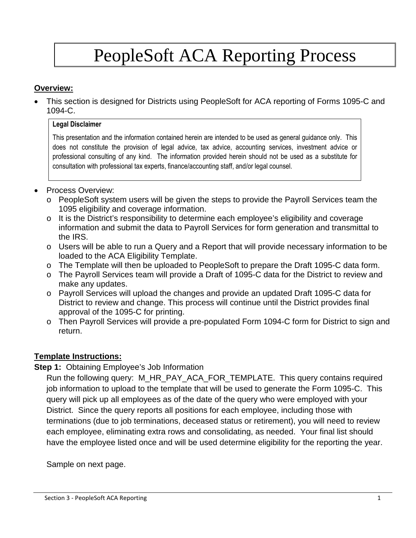# PeopleSoft ACA Reporting Process

#### **Overview:**

 This section is designed for Districts using PeopleSoft for ACA reporting of Forms 1095-C and 1094-C.

#### **Legal Disclaimer**

This presentation and the information contained herein are intended to be used as general guidance only. This does not constitute the provision of legal advice, tax advice, accounting services, investment advice or professional consulting of any kind. The information provided herein should not be used as a substitute for consultation with professional tax experts, finance/accounting staff, and/or legal counsel.

- Process Overview:
	- o PeopleSoft system users will be given the steps to provide the Payroll Services team the 1095 eligibility and coverage information.
	- o It is the District's responsibility to determine each employee's eligibility and coverage information and submit the data to Payroll Services for form generation and transmittal to the IRS.
	- o Users will be able to run a Query and a Report that will provide necessary information to be loaded to the ACA Eligibility Template.
	- o The Template will then be uploaded to PeopleSoft to prepare the Draft 1095-C data form.
	- o The Payroll Services team will provide a Draft of 1095-C data for the District to review and make any updates.
	- o Payroll Services will upload the changes and provide an updated Draft 1095-C data for District to review and change. This process will continue until the District provides final approval of the 1095-C for printing.
	- o Then Payroll Services will provide a pre-populated Form 1094-C form for District to sign and return.

# **Template Instructions:**

#### **Step 1: Obtaining Employee's Job Information**

Run the following query: M\_HR\_PAY\_ACA\_FOR\_TEMPLATE. This query contains required job information to upload to the template that will be used to generate the Form 1095-C. This query will pick up all employees as of the date of the query who were employed with your District. Since the query reports all positions for each employee, including those with terminations (due to job terminations, deceased status or retirement), you will need to review each employee, eliminating extra rows and consolidating, as needed. Your final list should have the employee listed once and will be used determine eligibility for the reporting the year.

Sample on next page.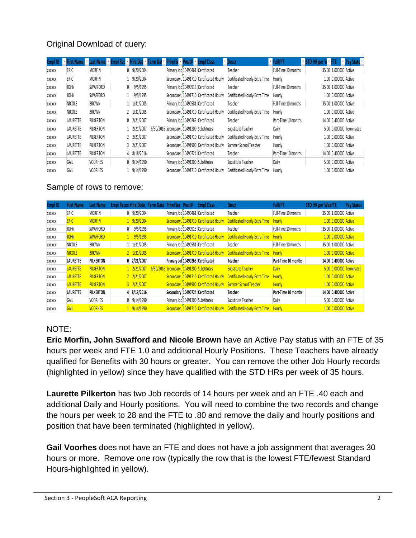# Original Download of query:

| Empl ID |          |                |    |                 | Name x Last Name x Empl Rec x Hire Dat x Term Dal x Prim/Se x Posit# x Empl Class |                                          | <sup>v</sup> Descr             | <b>Full/PT</b>      | $\cdot$ STD HR per VI $\cdot$ FTE | <b>Pay Statu</b>         |
|---------|----------|----------------|----|-----------------|-----------------------------------------------------------------------------------|------------------------------------------|--------------------------------|---------------------|-----------------------------------|--------------------------|
| XXXXXX  | ERIC     | <b>MORFIN</b>  | 0. | 9/20/2004       |                                                                                   | Primary Job 10490461 Certificated        | Teacher                        | Full-Time 10 months |                                   | 35.00 1.000000 Active    |
| XXXXXX  | ERIC     | <b>MORFIN</b>  |    | 9/20/2004       |                                                                                   | Secondary J 10491710 Certificated Hourly | Certificated Hourly-Extra Time | Hourly              |                                   | 1.00 0.000000 Active     |
| XXXXXX  | JOHN     | SWAFFORD       | 0. | 9/5/1995        |                                                                                   | Primary Job 10490913 Certificated        | Teacher                        | Full-Time 10 months |                                   | 35.00 1.000000 Active    |
| XXXXXX  | JOHN     | SWAFFORD       |    | 9/5/1995        |                                                                                   | Secondary J 10491710 Certificated Hourly | Certificated Hourly-Extra Time | Hourly              |                                   | 1.00 0.000000 Active     |
| XXXXXX  | NICOLE   | <b>BROWN</b>   |    | 1/31/2005       |                                                                                   | Primary Job 10490581 Certificated        | Teacher                        | Full-Time 10 months |                                   | 35.00 1.000000 Active    |
| XXXXXX  | NICOLE   | <b>BROWN</b>   |    | 2 1/31/2005     |                                                                                   | Secondary J 10491710 Certificated Hourly | Certificated Hourly-Extra Time | Hourly              |                                   | 1.00 0.000000 Active     |
| XXXXXX  | LAURETTE | PILKERTON      |    | $0$ $2/21/2007$ |                                                                                   | Primary Job 10490263 Certificated        | Teacher                        | Part-Time 10 months |                                   | 14.00 0.400000 Active    |
| XXXXXX  | LAURETTE | PILKERTON      |    | 2/21/2007       | 6/30/2016 Secondary J 10491200 Substitutes                                        |                                          | Substitute Teacher             | Daily               |                                   | 5.00 0.000000 Terminated |
| XXXXXX  | LAURETTE | PILKERTON      |    | 2 2/21/2007     |                                                                                   | Secondary J 10491710 Certificated Hourly | Certificated Hourly-Extra Time | Hourly              |                                   | 1.00 0.000000 Active     |
| XXXXXX  | LAURETTE | PILKERTON      |    | 3 2/21/2007     |                                                                                   | Secondary J 10491900 Certificated Hourly | Summer School Teacher          | Hourly              |                                   | 1.00 0.000000 Active     |
| XXXXXX  | LAURETTE | PILKERTON      | 4  | 8/18/2016       |                                                                                   | Secondary J 10490724 Certificated        | Teacher                        | Part-Time 10 months |                                   | 14.00 0.400000 Active    |
| XXXXXX  | GAIL     | <b>VOORHES</b> |    | $0$ 9/14/1990   |                                                                                   | Primary Job 10491200 Substitutes         | Substitute Teacher             | Daily               |                                   | 5.00 0.000000 Active     |
| XXXXXX  | GAIL     | <b>VOORHES</b> |    | 9/14/1990       |                                                                                   | Secondary J 10491710 Certificated Hourly | Certificated Hourly-Extra Time | Hourly              |                                   | 1.00 0.000000 Active     |

#### Sample of rows to remove:

| Empl ID | <b>First Name</b> | Last Name        | Empl Record Hire Date Term Date Prim/Sec Posit# |                        |                                            | <b>Empl Class</b>                        | Descr                                 | Full/PT             | <b>STD HR per WeeFTE</b> |                       | <b>Pay Status</b>        |
|---------|-------------------|------------------|-------------------------------------------------|------------------------|--------------------------------------------|------------------------------------------|---------------------------------------|---------------------|--------------------------|-----------------------|--------------------------|
| XXXXXX  | ERIC              | <b>MORFIN</b>    | 0                                               | 9/20/2004              |                                            | Primary Job 10490461 Certificated        | Teacher                               | Full-Time 10 months |                          | 35.00 1.000000 Active |                          |
| XXXXXX  | <b>ERIC</b>       | <b>MORFIN</b>    |                                                 | 1 9/20/2004            |                                            | Secondary J 10491710 Certificated Hourly | <b>Certificated Hourly-Extra Time</b> | <b>Hourly</b>       |                          | 1.00 0.000000 Active  |                          |
| XXXXXX  | <b>JOHN</b>       | SWAFFORD         | 0                                               | 9/5/1995               |                                            | Primary Job 10490913 Certificated        | Teacher                               | Full-Time 10 months |                          | 35.00 1.000000 Active |                          |
| XXXXXX  | <b>JOHN</b>       | <b>SWAFFORD</b>  |                                                 | 9/5/1995               |                                            | Secondary J 10491710 Certificated Hourly | <b>Certificated Hourly-Extra Time</b> | <b>Hourly</b>       |                          | 1.00 0.000000 Active  |                          |
| XXXXXX  | <b>NICOLE</b>     | <b>BROWN</b>     |                                                 | 1/31/2005              |                                            | Primary Job 10490581 Certificated        | Teacher                               | Full-Time 10 months |                          | 35.00 1.000000 Active |                          |
| XXXXXX  | <b>NICOLE</b>     | <b>BROWN</b>     |                                                 | $2 \frac{1}{31/2005}$  |                                            | Secondary J 10491710 Certificated Hourly | <b>Certificated Hourly-Extra Time</b> | <b>Hourly</b>       |                          | 1.00 0.000000 Active  |                          |
| XXXXXX  | <b>LAURETTE</b>   | <b>PILKERTON</b> |                                                 | $0$ 2/21/2007          |                                            | Primary Jol 10490263 Certificated        | Teacher                               | Part-Time 10 months |                          | 14.00 0.400000 Active |                          |
| XXXXXX  | <b>LAURETTE</b>   | <b>PILKERTON</b> |                                                 | $1 \frac{2}{21/2007}$  | 6/30/2016 Secondary J 10491200 Substitutes |                                          | <b>Substitute Teacher</b>             | <b>Daily</b>        |                          |                       | 5.00 0.000000 Terminated |
| XXXXXX  | <b>LAURETTE</b>   | <b>PILKERTON</b> |                                                 | $2 \frac{2}{21212007}$ |                                            | Secondary J 10491710 Certificated Hourly | <b>Certificated Hourly-Extra Time</b> | <b>Hourly</b>       |                          | 1.00 0.000000 Active  |                          |
| XXXXXX  | <b>LAURETTE</b>   | <b>PILKERTON</b> |                                                 | $3 \frac{2}{21/2007}$  |                                            | Secondary J 10491900 Certificated Hourly | <b>Summer School Teacher</b>          | Hourly              |                          | 1.00 0.000000 Active  |                          |
| XXXXXX  | <b>LAURETTE</b>   | <b>PILKERTON</b> |                                                 | 4 8/18/2016            |                                            | Secondary 10490724 Certificated          | <b>Teacher</b>                        | Part-Time 10 months |                          | 14.00 0.400000 Active |                          |
| XXXXXX  | GAIL              | <b>VOORHES</b>   | 0                                               | 9/14/1990              |                                            | Primary Job 10491200 Substitutes         | Substitute Teacher                    | Daily               |                          | 5.00 0.000000 Active  |                          |
| XXXXXX  | <b>GAIL</b>       | <b>VOORHES</b>   |                                                 | $1 \frac{9}{14/1990}$  |                                            | Secondary J 10491710 Certificated Hourly | <b>Certificated Hourly-Extra Time</b> | <b>Hourly</b>       |                          | 1.00 0.000000 Active  |                          |

# NOTE:

**Eric Morfin, John Swafford and Nicole Brown** have an Active Pay status with an FTE of 35 hours per week and FTE 1.0 and additional Hourly Positions. These Teachers have already qualified for Benefits with 30 hours or greater. You can remove the other Job Hourly records (highlighted in yellow) since they have qualified with the STD HRs per week of 35 hours.

**Laurette Pilkerton** has two Job records of 14 hours per week and an FTE .40 each and additional Daily and Hourly positions. You will need to combine the two records and change the hours per week to 28 and the FTE to .80 and remove the daily and hourly positions and position that have been terminated (highlighted in yellow).

**Gail Voorhes** does not have an FTE and does not have a job assignment that averages 30 hours or more. Remove one row (typically the row that is the lowest FTE/fewest Standard Hours-highlighted in yellow).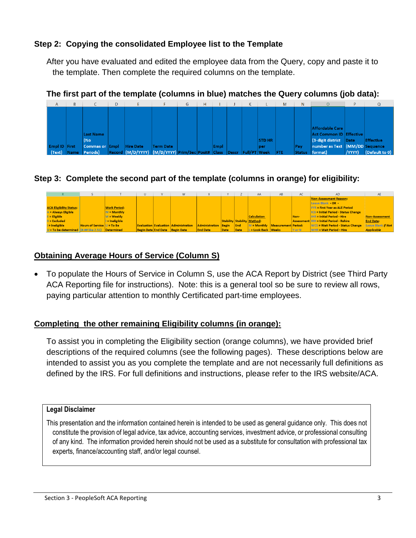# **Step 2: Copying the consolidated Employee list to the Template**

After you have evaluated and edited the employee data from the Query, copy and paste it to the template. Then complete the required columns on the template.



#### **The first part of the template (columns in blue) matches the Query columns (job data):**

# **Step 3: Complete the second part of the template (columns in orange) for eligibility:**

|                                |                                                          |                     |  | w                                           |                          |      |      | AA                                 | AB                              | AC                   | AD                                          | <b>AE</b>          |
|--------------------------------|----------------------------------------------------------|---------------------|--|---------------------------------------------|--------------------------|------|------|------------------------------------|---------------------------------|----------------------|---------------------------------------------|--------------------|
|                                |                                                          |                     |  |                                             |                          |      |      |                                    |                                 |                      | <b>Non-Assessment Reason:</b>               |                    |
|                                |                                                          |                     |  |                                             |                          |      |      |                                    |                                 |                      | Leave Blank - OR -                          |                    |
| <b>ACA Eligibility Status:</b> |                                                          | <b>Work Period:</b> |  |                                             |                          |      |      |                                    |                                 |                      | <b>FYR = First Year as ALE Period</b>       |                    |
| A = Always Eligible            |                                                          | $M =$ Monthly       |  |                                             |                          |      |      |                                    |                                 |                      | <b>ICS = Initial Period - Status Change</b> |                    |
| $E =$ Eligible                 |                                                          | $M =$ Weekly        |  |                                             |                          |      |      | <b>Calculation</b>                 |                                 | Non-                 | <b>IHR = Initial Period - Hire</b>          | Non-Assessment     |
| $X =$ Excluded                 |                                                          | I = Ineligible      |  |                                             |                          |      |      | <b>Stability Stability Method:</b> |                                 | <b>Assessment II</b> | <b>RH = Initial Period - Rehire</b>         | <b>End Date:</b>   |
| $I = Ineligible$               | <b>Hours of Service <math>U = To Be</math></b>           |                     |  | <b>Evaluation Evaluation Administration</b> | Administration Begin End |      |      |                                    | M = Monthly Measurement Period: |                      | <b>WCS = Wait Period - Status Change</b>    | Leave Blank if Not |
|                                | $U = To be determined$   $(H, H)$ like 2.51   Determined |                     |  | Begin Date End Date Begin Date              | <b>End Date</b>          | Date | Date | $L =$ Look Back Weeks              |                                 | Y or N               | <b>WHR = Wait Period - Hire</b>             | <b>Applicable</b>  |

# **Obtaining Average Hours of Service (Column S)**

 To populate the Hours of Service in Column S, use the ACA Report by District (see Third Party ACA Reporting file for instructions). Note: this is a general tool so be sure to review all rows, paying particular attention to monthly Certificated part-time employees.

#### **Completing the other remaining Eligibility columns (in orange):**

To assist you in completing the Eligibility section (orange columns), we have provided brief descriptions of the required columns (see the following pages). These descriptions below are intended to assist you as you complete the template and are not necessarily full definitions as defined by the IRS. For full definitions and instructions, please refer to the IRS website/ACA.

#### **Legal Disclaimer**

This presentation and the information contained herein is intended to be used as general guidance only. This does not constitute the provision of legal advice, tax advice, accounting services, investment advice, or professional consulting of any kind. The information provided herein should not be used as a substitute for consultation with professional tax experts, finance/accounting staff, and/or legal counsel.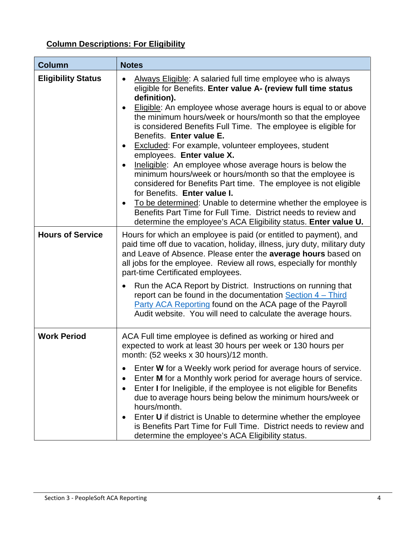# **Column Descriptions: For Eligibility**

| <b>Column</b>             | <b>Notes</b>                                                                                                                                                                                                                                                                                                                                                                                                                                                                                                                                                                                                                                                                                                                                                                                                                                                                                                                                                               |
|---------------------------|----------------------------------------------------------------------------------------------------------------------------------------------------------------------------------------------------------------------------------------------------------------------------------------------------------------------------------------------------------------------------------------------------------------------------------------------------------------------------------------------------------------------------------------------------------------------------------------------------------------------------------------------------------------------------------------------------------------------------------------------------------------------------------------------------------------------------------------------------------------------------------------------------------------------------------------------------------------------------|
| <b>Eligibility Status</b> | Always Eligible: A salaried full time employee who is always<br>$\bullet$<br>eligible for Benefits. Enter value A- (review full time status<br>definition).<br>Eligible: An employee whose average hours is equal to or above<br>$\bullet$<br>the minimum hours/week or hours/month so that the employee<br>is considered Benefits Full Time. The employee is eligible for<br>Benefits. Enter value E.<br><b>Excluded:</b> For example, volunteer employees, student<br>$\bullet$<br>employees. Enter value X.<br>Ineligible: An employee whose average hours is below the<br>$\bullet$<br>minimum hours/week or hours/month so that the employee is<br>considered for Benefits Part time. The employee is not eligible<br>for Benefits. Enter value I.<br>To be determined: Unable to determine whether the employee is<br>$\bullet$<br>Benefits Part Time for Full Time. District needs to review and<br>determine the employee's ACA Eligibility status. Enter value U. |
| <b>Hours of Service</b>   | Hours for which an employee is paid (or entitled to payment), and<br>paid time off due to vacation, holiday, illness, jury duty, military duty<br>and Leave of Absence. Please enter the average hours based on<br>all jobs for the employee. Review all rows, especially for monthly<br>part-time Certificated employees.<br>Run the ACA Report by District. Instructions on running that<br>report can be found in the documentation Section 4 – Third<br>Party ACA Reporting found on the ACA page of the Payroll<br>Audit website. You will need to calculate the average hours.                                                                                                                                                                                                                                                                                                                                                                                       |
| <b>Work Period</b>        | ACA Full time employee is defined as working or hired and<br>expected to work at least 30 hours per week or 130 hours per<br>month: (52 weeks x 30 hours)/12 month.<br>Enter W for a Weekly work period for average hours of service.<br>$\bullet$<br>Enter M for a Monthly work period for average hours of service.<br>$\bullet$<br>Enter I for Ineligible, if the employee is not eligible for Benefits<br>due to average hours being below the minimum hours/week or<br>hours/month.<br>Enter U if district is Unable to determine whether the employee<br>is Benefits Part Time for Full Time. District needs to review and<br>determine the employee's ACA Eligibility status.                                                                                                                                                                                                                                                                                       |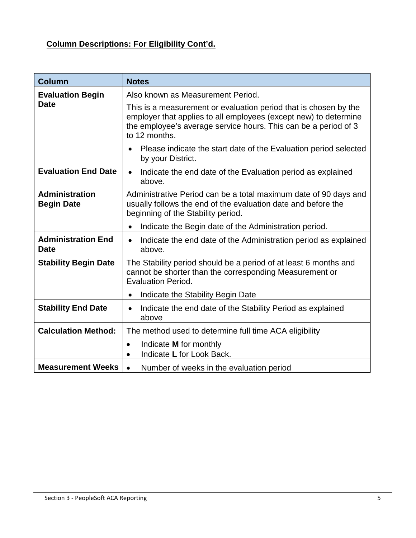# **Column Descriptions: For Eligibility Cont'd.**

| <b>Column</b>                              | <b>Notes</b>                                                                                                                                                                                                             |
|--------------------------------------------|--------------------------------------------------------------------------------------------------------------------------------------------------------------------------------------------------------------------------|
| <b>Evaluation Begin</b>                    | Also known as Measurement Period.                                                                                                                                                                                        |
| <b>Date</b>                                | This is a measurement or evaluation period that is chosen by the<br>employer that applies to all employees (except new) to determine<br>the employee's average service hours. This can be a period of 3<br>to 12 months. |
|                                            | Please indicate the start date of the Evaluation period selected<br>by your District.                                                                                                                                    |
| <b>Evaluation End Date</b>                 | Indicate the end date of the Evaluation period as explained<br>$\bullet$<br>above.                                                                                                                                       |
| <b>Administration</b><br><b>Begin Date</b> | Administrative Period can be a total maximum date of 90 days and<br>usually follows the end of the evaluation date and before the<br>beginning of the Stability period.                                                  |
|                                            | Indicate the Begin date of the Administration period.<br>$\bullet$                                                                                                                                                       |
| <b>Administration End</b><br><b>Date</b>   | Indicate the end date of the Administration period as explained<br>$\bullet$<br>above.                                                                                                                                   |
| <b>Stability Begin Date</b>                | The Stability period should be a period of at least 6 months and<br>cannot be shorter than the corresponding Measurement or<br><b>Evaluation Period.</b>                                                                 |
|                                            | Indicate the Stability Begin Date<br>٠                                                                                                                                                                                   |
| <b>Stability End Date</b>                  | Indicate the end date of the Stability Period as explained<br>$\bullet$<br>above                                                                                                                                         |
| <b>Calculation Method:</b>                 | The method used to determine full time ACA eligibility                                                                                                                                                                   |
|                                            | Indicate <b>M</b> for monthly<br>$\bullet$<br>Indicate L for Look Back.                                                                                                                                                  |
| <b>Measurement Weeks</b>                   | Number of weeks in the evaluation period<br>$\bullet$                                                                                                                                                                    |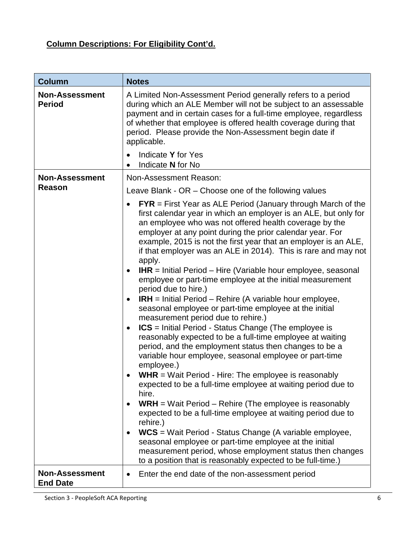# **Column Descriptions: For Eligibility Cont'd.**

| <b>Column</b>                            | <b>Notes</b>                                                                                                                                                                                                                                                                                                                                                                                                                                                                                                                                                                                                                                                                                                                                                                                                                                                                                                                                                                                                                                                                                                                                                                                                                                                                                                                                                                                                                                                                                                                              |
|------------------------------------------|-------------------------------------------------------------------------------------------------------------------------------------------------------------------------------------------------------------------------------------------------------------------------------------------------------------------------------------------------------------------------------------------------------------------------------------------------------------------------------------------------------------------------------------------------------------------------------------------------------------------------------------------------------------------------------------------------------------------------------------------------------------------------------------------------------------------------------------------------------------------------------------------------------------------------------------------------------------------------------------------------------------------------------------------------------------------------------------------------------------------------------------------------------------------------------------------------------------------------------------------------------------------------------------------------------------------------------------------------------------------------------------------------------------------------------------------------------------------------------------------------------------------------------------------|
| <b>Non-Assessment</b><br><b>Period</b>   | A Limited Non-Assessment Period generally refers to a period<br>during which an ALE Member will not be subject to an assessable<br>payment and in certain cases for a full-time employee, regardless<br>of whether that employee is offered health coverage during that<br>period. Please provide the Non-Assessment begin date if<br>applicable.                                                                                                                                                                                                                                                                                                                                                                                                                                                                                                                                                                                                                                                                                                                                                                                                                                                                                                                                                                                                                                                                                                                                                                                         |
|                                          | Indicate Y for Yes<br>Indicate N for No<br>$\bullet$                                                                                                                                                                                                                                                                                                                                                                                                                                                                                                                                                                                                                                                                                                                                                                                                                                                                                                                                                                                                                                                                                                                                                                                                                                                                                                                                                                                                                                                                                      |
| <b>Non-Assessment</b>                    | Non-Assessment Reason:                                                                                                                                                                                                                                                                                                                                                                                                                                                                                                                                                                                                                                                                                                                                                                                                                                                                                                                                                                                                                                                                                                                                                                                                                                                                                                                                                                                                                                                                                                                    |
| Reason                                   | Leave Blank - OR - Choose one of the following values                                                                                                                                                                                                                                                                                                                                                                                                                                                                                                                                                                                                                                                                                                                                                                                                                                                                                                                                                                                                                                                                                                                                                                                                                                                                                                                                                                                                                                                                                     |
|                                          | $FYR = First Year$ as ALE Period (January through March of the<br>first calendar year in which an employer is an ALE, but only for<br>an employee who was not offered health coverage by the<br>employer at any point during the prior calendar year. For<br>example, 2015 is not the first year that an employer is an ALE,<br>if that employer was an ALE in 2014). This is rare and may not<br>apply.<br><b>IHR</b> = Initial Period – Hire (Variable hour employee, seasonal<br>employee or part-time employee at the initial measurement<br>period due to hire.)<br><b>IRH</b> = Initial Period – Rehire (A variable hour employee,<br>seasonal employee or part-time employee at the initial<br>measurement period due to rehire.)<br><b>ICS</b> = Initial Period - Status Change (The employee is<br>reasonably expected to be a full-time employee at waiting<br>period, and the employment status then changes to be a<br>variable hour employee, seasonal employee or part-time<br>employee.)<br>$WHR = Wait Period - Hire: The employee is reasonably$<br>expected to be a full-time employee at waiting period due to<br>hire.<br>$WRH = Wait Period - Rehire (The employee is reasonably$<br>expected to be a full-time employee at waiting period due to<br>rehire.)<br><b>WCS</b> = Wait Period - Status Change (A variable employee,<br>seasonal employee or part-time employee at the initial<br>measurement period, whose employment status then changes<br>to a position that is reasonably expected to be full-time.) |
| <b>Non-Assessment</b><br><b>End Date</b> | Enter the end date of the non-assessment period                                                                                                                                                                                                                                                                                                                                                                                                                                                                                                                                                                                                                                                                                                                                                                                                                                                                                                                                                                                                                                                                                                                                                                                                                                                                                                                                                                                                                                                                                           |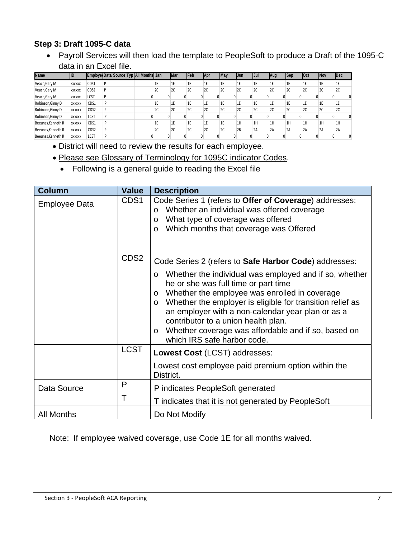#### **Step 3: Draft 1095-C data**

 Payroll Services will then load the template to PeopleSoft to produce a Draft of the 1095-C data in an Excel file.

| Name               | İID           |      | Employe Data Source Typ All Months Jan |    | <b>IMar</b> | <b>IFeb</b> | <b>Apr</b> | May | IJun. | IJul | Aug | Sep | <b>IOct</b> | <b>INov</b> | <b>IDec</b> |  |
|--------------------|---------------|------|----------------------------------------|----|-------------|-------------|------------|-----|-------|------|-----|-----|-------------|-------------|-------------|--|
| Veach, Gary M      | <b>XXXXXX</b> | CDS1 |                                        | 1E | 1E          | 1E          | 1E         | 1E  | 1E    | 1E   | 1E  | 1E  | 1E          | 1E          | 1E          |  |
| Veach, Gary M      | <b>XXXXXX</b> | CDS2 |                                        | 2C | 2C          | 2C          | 2C         | 2C  | 2C    | 2C   | 2C  | 2C  | 2С          | 2C          | 2C          |  |
| Veach, Gary M      | <b>XXXXXX</b> | LCST |                                        |    |             |             |            |     |       |      |     |     |             |             |             |  |
| Robinson, Ginny D  | <b>XXXXXX</b> | CDS1 |                                        | 1E | 1E          | 1E          | 1E         | 1E  | 1Ε    | 1E   | 1E  | 1E  |             | 16          | 1Ε          |  |
| Robinson, Ginny D  | <b>XXXXXX</b> | CDS2 |                                        | 2C | 2C          | 2C          | 2C         | 2C  | 2C    | 2C   | 2C  | 2C  | 2С          | 2C          | 2C          |  |
| Robinson, Ginny D  | <b>XXXXXX</b> | LCST |                                        |    |             |             |            |     |       |      |     |     |             |             |             |  |
| Beeunas, Kenneth R | <b>XXXXXX</b> | CDS1 |                                        | 1E | 1E          | 1E          | 1E         | 1E  | 1H    | 1H   | 1H  | 1H  | 1H          | 1H          | 1H          |  |
| Beeunas, Kenneth R | <b>XXXXXX</b> | CDS2 |                                        | 20 | 2C          | 2C          | 2C         | 2C  | 2B    | 2A   | 2A  | 2A  | 2A          | 2A          | 2A          |  |
| Beeunas, Kenneth R | <b>XXXXXX</b> | LCST |                                        |    |             |             |            |     |       |      |     |     |             |             |             |  |

- District will need to review the results for each employee.
- Please see Glossary of Terminology for 1095C indicator Codes.
	- Following is a general guide to reading the Excel file

| <b>Column</b>        | <b>Value</b>     | <b>Description</b>                                                                                                                                                                                                                                                                                                                                                                                                                         |
|----------------------|------------------|--------------------------------------------------------------------------------------------------------------------------------------------------------------------------------------------------------------------------------------------------------------------------------------------------------------------------------------------------------------------------------------------------------------------------------------------|
| <b>Employee Data</b> | CDS1             | Code Series 1 (refers to Offer of Coverage) addresses:<br>Whether an individual was offered coverage<br>$\circ$<br>What type of coverage was offered<br>O<br>Which months that coverage was Offered<br>$\circ$                                                                                                                                                                                                                             |
|                      | CDS <sub>2</sub> | Code Series 2 (refers to Safe Harbor Code) addresses:                                                                                                                                                                                                                                                                                                                                                                                      |
|                      |                  | Whether the individual was employed and if so, whether<br>$\circ$<br>he or she was full time or part time<br>Whether the employee was enrolled in coverage<br>$\circ$<br>Whether the employer is eligible for transition relief as<br>$\circ$<br>an employer with a non-calendar year plan or as a<br>contributor to a union health plan.<br>Whether coverage was affordable and if so, based on<br>$\circ$<br>which IRS safe harbor code. |
|                      | <b>LCST</b>      | Lowest Cost (LCST) addresses:                                                                                                                                                                                                                                                                                                                                                                                                              |
|                      |                  | Lowest cost employee paid premium option within the<br>District.                                                                                                                                                                                                                                                                                                                                                                           |
| Data Source          | P                | P indicates PeopleSoft generated                                                                                                                                                                                                                                                                                                                                                                                                           |
|                      | Т                | T indicates that it is not generated by PeopleSoft                                                                                                                                                                                                                                                                                                                                                                                         |
| <b>All Months</b>    |                  | Do Not Modify                                                                                                                                                                                                                                                                                                                                                                                                                              |

Note: If employee waived coverage, use Code 1E for all months waived.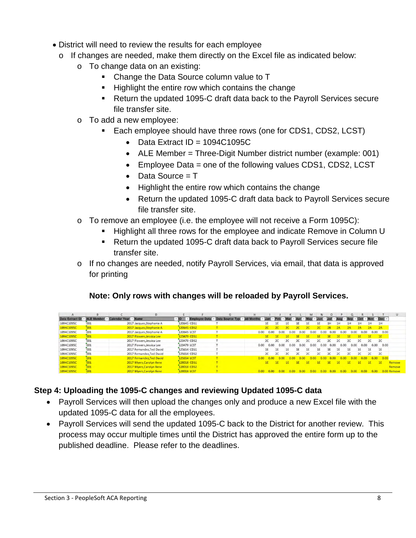- District will need to review the results for each employee
	- o If changes are needed, make them directly on the Excel file as indicated below:
		- o To change data on an existing:
			- Change the Data Source column value to T
			- **Highlight the entire row which contains the change**
			- Return the updated 1095-C draft data back to the Payroll Services secure file transfer site.
		- o To add a new employee:
			- Each employee should have three rows (one for CDS1, CDS2, LCST)
				- $\bullet$  Data Extract ID = 1094C1095C
				- ALE Member = Three-Digit Number district number (example: 001)
				- $\bullet$  Employee Data = one of the following values CDS1, CDS2, LCST
				- $\bullet$  Data Source = T
				- Highlight the entire row which contains the change
				- Return the updated 1095-C draft data back to Payroll Services secure file transfer site.
		- o To remove an employee (i.e. the employee will not receive a Form 1095C):
			- Highlight all three rows for the employee and indicate Remove in Column U
			- Return the updated 1095-C draft data back to Payroll Services secure file transfer site.
		- o If no changes are needed, notify Payroll Services, via email, that data is approved for printing

# **Note: Only rows with changes will be reloaded by Payroll Services.**

|                                                     |     |                           |             |                                                          | н    |      |      |      |      |      |           | $\Omega$ |           |      |      |      |                           |             |
|-----------------------------------------------------|-----|---------------------------|-------------|----------------------------------------------------------|------|------|------|------|------|------|-----------|----------|-----------|------|------|------|---------------------------|-------------|
| Data Extract ID - ALE Member - Calendar Year - Name |     |                           |             | Employee Data - Data Source Typ - All Months - Jan - Feb |      |      |      |      |      |      |           |          |           |      |      |      | $\cdot$ Oct - Nov - Dec - |             |
| 1094C1095C                                          | 001 | 2017 Jacques, Stephanie A | 120645 CD51 |                                                          |      | 1E.  | 1E   | 1E   | 1E.  | 1E   | 1E        | 1H       | 1H        | 1H   | 1H   | 1H   | 1H                        |             |
| 1094C1095C                                          | 001 | 2017 Jacques, Stephanie A | 120645 CDS2 |                                                          |      |      |      | 20   |      |      |           |          | <b>2A</b> | 2A.  |      | 2A   | 2A                        |             |
| 1094C1095C                                          | 001 | 2017 Jacques, Stephanie A | 120645 LCST |                                                          | 0.00 | 0.00 | 0.00 | 0.00 | 0.00 | 0.00 | 0.00      | 0.00     | 0.00      | 0.00 | 0.00 | 0.00 | 0.00                      |             |
| 1094C1095C                                          | 001 | 2017 Flowers, Jessica Lee | 123479 CD51 |                                                          |      | 1E   |      | IF.  |      | 18.  |           |          | 16        |      | 18   | 16   | 1F                        |             |
| 1094C1095C                                          | 001 | 2017 Flowers, Jessica Lee | 123479 CDS2 |                                                          |      |      | 2C   | 2C   | 2C   | 2C   |           | 2C       | 2C        | 2C   | 2C   | 2C   | 2C                        |             |
| 1094C1095C                                          | 001 | 2017 Flowers, Jessica Lee | 123479 LCST |                                                          | 0.00 | 0.00 | 0.00 | 0.00 | 0.00 | 0.00 | 0.00      | 0.00     | 0.00      | 0.00 | 0.00 | 0.00 | 0.00                      |             |
| 1094C1095C                                          | 001 | 2017 Fernandez, Ted David | 125654 CDS1 |                                                          |      | 1E   | 1E   | 16   | 1F   | 1E   | <b>1F</b> | 1E       | 1E        | 1E   | 16.  | 1E   | 1E                        |             |
| 1094C1095C                                          | 001 | 2017 Fernandez, Ted David | 125654 CDS2 |                                                          |      | 2C   | 2C   | 2C   | 2C   | 2C   | 2C        | 2C       | <b>2C</b> | 2C   | 2C   | 2C   | 2C                        |             |
| 1094C1095C                                          | 001 | 2017 Fernandez Ted David  | 125654 LCST |                                                          | 0.00 | n or |      |      |      |      |           |          |           |      |      | 0.00 | 0.00                      |             |
| 1094C1095C                                          | 001 | 2017 Myers Carolyn Ilene  | 128018 CD51 |                                                          |      | IE.  |      | I F. |      | 1F   |           | 16       | 1F        | 1F   |      |      |                           | Remove      |
| 1094C1095C                                          | 001 | 2017 Myers Carolyn Ilene  | 128018 CDS2 |                                                          |      |      |      |      |      |      |           |          |           |      |      |      |                           | Remove      |
| 1094C1095C                                          | 001 | 2017 Myers, Carolyn Ilene | 128018 LCST |                                                          |      | 0.00 |      |      |      |      |           |          |           |      |      |      |                           | 0.00 Remove |

# **Step 4: Uploading the 1095-C changes and reviewing Updated 1095-C data**

- Payroll Services will then upload the changes only and produce a new Excel file with the updated 1095-C data for all the employees.
- Payroll Services will send the updated 1095-C back to the District for another review. This process may occur multiple times until the District has approved the entire form up to the published deadline. Please refer to the deadlines.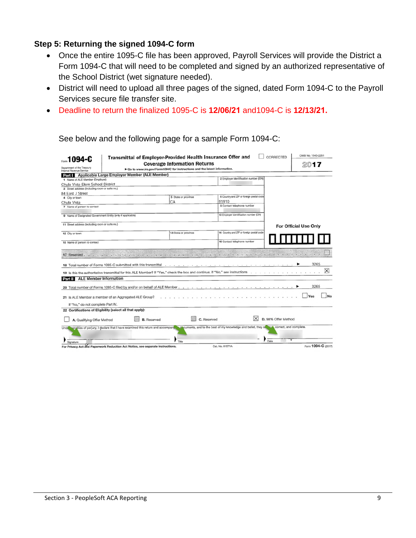#### **Step 5: Returning the signed 1094-C form**

- Once the entire 1095-C file has been approved, Payroll Services will provide the District a Form 1094-C that will need to be completed and signed by an authorized representative of the School District (wet signature needed).
- District will need to upload all three pages of the signed, dated Form 1094-C to the Payroll Services secure file transfer site.
- Deadline to return the finalized 1095-C is **12/06/21** and1094-C is **12/13/21.**

| 1094-C<br><b>Coverage Information Returns</b><br>201<br>Dapartment of the Treasury<br>Go to www.irs.gov/Form1094C for instructions and the latest information.<br>Internal Revenue Service<br>Applicable Large Employer Member (ALE Member)<br>Part I<br>2 Employer identification number (EIN)<br>1 Name of ALE Member (Employer)<br>Chula Vista Elem School District<br>3 Street address (including room or suite no.)<br>84 East J Street<br>6 Country and ZIP or foreign postal code<br>5 State or province<br>4 City or town<br>CA<br>91910<br>Chula Vista<br>8 Contact telephone number<br>7 Name of person to contact<br>10 Employer identification number (EIN)<br>9 Name of Designated Government Entity (only if applicable)<br>11 Street address (including room or suite no.)<br>For Official Use Only<br>14 Country and ZIP or foreign postal code<br>13 State or province<br>12 City or town<br>16 Contact telephone number<br>15 Name of person to contact<br>THE CHILD CHINESE SHOULD COME . The CHINA'S CONSULTING THE CHINA'S CONSULTING THE CHINA'S CONSULTANCE<br>17 Reserved.<br>A CALLA THREE CHARGE<br>3265<br>18 Total number of Forms 1095-C submitted with this transmittal<br>.<br>$\overline{\mathsf{x}}$<br>19 Is this the authoritative transmittal for this ALE Member? If "Yes," check the box and continue. If "No," see instructions<br><b>ALE Member Information</b><br>Part II<br>3265<br>20 Total number of Forms 1095-C filed by and/or on behalf of ALE Member.<br>21 Is ALE Member a member of an Aggregated ALE Group?<br>If "No," do not complete Part IV.<br>22 Certifications of Eligibility (select all that apply):<br>D. 98% Offer Method<br><b>B.</b> Reserved<br>C. Reserved<br>A. Qualifying Offer Method<br>addcuments, and to the best of my knowledge and belief, they all have correct, and complete.<br>penalties of perjury, I declare that I have examined this return and accompany<br><b>Unde</b><br>Date<br>Title<br>Signature<br>Form 1094-C (2017)<br>For Privacy Act and Paperwork Reduction Act Notice, see separate instructions.<br>Cat. No. 61571A | Transmittal of Employer-Provided Health Insurance Offer and |  | CORRECTED | OMB No. 1545-2251 |
|-----------------------------------------------------------------------------------------------------------------------------------------------------------------------------------------------------------------------------------------------------------------------------------------------------------------------------------------------------------------------------------------------------------------------------------------------------------------------------------------------------------------------------------------------------------------------------------------------------------------------------------------------------------------------------------------------------------------------------------------------------------------------------------------------------------------------------------------------------------------------------------------------------------------------------------------------------------------------------------------------------------------------------------------------------------------------------------------------------------------------------------------------------------------------------------------------------------------------------------------------------------------------------------------------------------------------------------------------------------------------------------------------------------------------------------------------------------------------------------------------------------------------------------------------------------------------------------------------------------------------------------------------------------------------------------------------------------------------------------------------------------------------------------------------------------------------------------------------------------------------------------------------------------------------------------------------------------------------------------------------------------------------------------------------------------------------------------------------------------------------|-------------------------------------------------------------|--|-----------|-------------------|
|                                                                                                                                                                                                                                                                                                                                                                                                                                                                                                                                                                                                                                                                                                                                                                                                                                                                                                                                                                                                                                                                                                                                                                                                                                                                                                                                                                                                                                                                                                                                                                                                                                                                                                                                                                                                                                                                                                                                                                                                                                                                                                                       |                                                             |  |           |                   |
|                                                                                                                                                                                                                                                                                                                                                                                                                                                                                                                                                                                                                                                                                                                                                                                                                                                                                                                                                                                                                                                                                                                                                                                                                                                                                                                                                                                                                                                                                                                                                                                                                                                                                                                                                                                                                                                                                                                                                                                                                                                                                                                       |                                                             |  |           |                   |
|                                                                                                                                                                                                                                                                                                                                                                                                                                                                                                                                                                                                                                                                                                                                                                                                                                                                                                                                                                                                                                                                                                                                                                                                                                                                                                                                                                                                                                                                                                                                                                                                                                                                                                                                                                                                                                                                                                                                                                                                                                                                                                                       |                                                             |  |           |                   |
|                                                                                                                                                                                                                                                                                                                                                                                                                                                                                                                                                                                                                                                                                                                                                                                                                                                                                                                                                                                                                                                                                                                                                                                                                                                                                                                                                                                                                                                                                                                                                                                                                                                                                                                                                                                                                                                                                                                                                                                                                                                                                                                       |                                                             |  |           |                   |
|                                                                                                                                                                                                                                                                                                                                                                                                                                                                                                                                                                                                                                                                                                                                                                                                                                                                                                                                                                                                                                                                                                                                                                                                                                                                                                                                                                                                                                                                                                                                                                                                                                                                                                                                                                                                                                                                                                                                                                                                                                                                                                                       |                                                             |  |           |                   |
|                                                                                                                                                                                                                                                                                                                                                                                                                                                                                                                                                                                                                                                                                                                                                                                                                                                                                                                                                                                                                                                                                                                                                                                                                                                                                                                                                                                                                                                                                                                                                                                                                                                                                                                                                                                                                                                                                                                                                                                                                                                                                                                       |                                                             |  |           |                   |
|                                                                                                                                                                                                                                                                                                                                                                                                                                                                                                                                                                                                                                                                                                                                                                                                                                                                                                                                                                                                                                                                                                                                                                                                                                                                                                                                                                                                                                                                                                                                                                                                                                                                                                                                                                                                                                                                                                                                                                                                                                                                                                                       |                                                             |  |           |                   |
|                                                                                                                                                                                                                                                                                                                                                                                                                                                                                                                                                                                                                                                                                                                                                                                                                                                                                                                                                                                                                                                                                                                                                                                                                                                                                                                                                                                                                                                                                                                                                                                                                                                                                                                                                                                                                                                                                                                                                                                                                                                                                                                       |                                                             |  |           |                   |
|                                                                                                                                                                                                                                                                                                                                                                                                                                                                                                                                                                                                                                                                                                                                                                                                                                                                                                                                                                                                                                                                                                                                                                                                                                                                                                                                                                                                                                                                                                                                                                                                                                                                                                                                                                                                                                                                                                                                                                                                                                                                                                                       |                                                             |  |           |                   |
|                                                                                                                                                                                                                                                                                                                                                                                                                                                                                                                                                                                                                                                                                                                                                                                                                                                                                                                                                                                                                                                                                                                                                                                                                                                                                                                                                                                                                                                                                                                                                                                                                                                                                                                                                                                                                                                                                                                                                                                                                                                                                                                       |                                                             |  |           |                   |
|                                                                                                                                                                                                                                                                                                                                                                                                                                                                                                                                                                                                                                                                                                                                                                                                                                                                                                                                                                                                                                                                                                                                                                                                                                                                                                                                                                                                                                                                                                                                                                                                                                                                                                                                                                                                                                                                                                                                                                                                                                                                                                                       |                                                             |  |           |                   |
|                                                                                                                                                                                                                                                                                                                                                                                                                                                                                                                                                                                                                                                                                                                                                                                                                                                                                                                                                                                                                                                                                                                                                                                                                                                                                                                                                                                                                                                                                                                                                                                                                                                                                                                                                                                                                                                                                                                                                                                                                                                                                                                       |                                                             |  |           |                   |
|                                                                                                                                                                                                                                                                                                                                                                                                                                                                                                                                                                                                                                                                                                                                                                                                                                                                                                                                                                                                                                                                                                                                                                                                                                                                                                                                                                                                                                                                                                                                                                                                                                                                                                                                                                                                                                                                                                                                                                                                                                                                                                                       |                                                             |  |           |                   |
|                                                                                                                                                                                                                                                                                                                                                                                                                                                                                                                                                                                                                                                                                                                                                                                                                                                                                                                                                                                                                                                                                                                                                                                                                                                                                                                                                                                                                                                                                                                                                                                                                                                                                                                                                                                                                                                                                                                                                                                                                                                                                                                       |                                                             |  |           |                   |
|                                                                                                                                                                                                                                                                                                                                                                                                                                                                                                                                                                                                                                                                                                                                                                                                                                                                                                                                                                                                                                                                                                                                                                                                                                                                                                                                                                                                                                                                                                                                                                                                                                                                                                                                                                                                                                                                                                                                                                                                                                                                                                                       |                                                             |  |           |                   |
|                                                                                                                                                                                                                                                                                                                                                                                                                                                                                                                                                                                                                                                                                                                                                                                                                                                                                                                                                                                                                                                                                                                                                                                                                                                                                                                                                                                                                                                                                                                                                                                                                                                                                                                                                                                                                                                                                                                                                                                                                                                                                                                       |                                                             |  |           |                   |
|                                                                                                                                                                                                                                                                                                                                                                                                                                                                                                                                                                                                                                                                                                                                                                                                                                                                                                                                                                                                                                                                                                                                                                                                                                                                                                                                                                                                                                                                                                                                                                                                                                                                                                                                                                                                                                                                                                                                                                                                                                                                                                                       |                                                             |  |           |                   |
|                                                                                                                                                                                                                                                                                                                                                                                                                                                                                                                                                                                                                                                                                                                                                                                                                                                                                                                                                                                                                                                                                                                                                                                                                                                                                                                                                                                                                                                                                                                                                                                                                                                                                                                                                                                                                                                                                                                                                                                                                                                                                                                       |                                                             |  |           |                   |
|                                                                                                                                                                                                                                                                                                                                                                                                                                                                                                                                                                                                                                                                                                                                                                                                                                                                                                                                                                                                                                                                                                                                                                                                                                                                                                                                                                                                                                                                                                                                                                                                                                                                                                                                                                                                                                                                                                                                                                                                                                                                                                                       |                                                             |  |           |                   |
|                                                                                                                                                                                                                                                                                                                                                                                                                                                                                                                                                                                                                                                                                                                                                                                                                                                                                                                                                                                                                                                                                                                                                                                                                                                                                                                                                                                                                                                                                                                                                                                                                                                                                                                                                                                                                                                                                                                                                                                                                                                                                                                       |                                                             |  |           |                   |
|                                                                                                                                                                                                                                                                                                                                                                                                                                                                                                                                                                                                                                                                                                                                                                                                                                                                                                                                                                                                                                                                                                                                                                                                                                                                                                                                                                                                                                                                                                                                                                                                                                                                                                                                                                                                                                                                                                                                                                                                                                                                                                                       |                                                             |  |           |                   |
|                                                                                                                                                                                                                                                                                                                                                                                                                                                                                                                                                                                                                                                                                                                                                                                                                                                                                                                                                                                                                                                                                                                                                                                                                                                                                                                                                                                                                                                                                                                                                                                                                                                                                                                                                                                                                                                                                                                                                                                                                                                                                                                       |                                                             |  |           | No                |
|                                                                                                                                                                                                                                                                                                                                                                                                                                                                                                                                                                                                                                                                                                                                                                                                                                                                                                                                                                                                                                                                                                                                                                                                                                                                                                                                                                                                                                                                                                                                                                                                                                                                                                                                                                                                                                                                                                                                                                                                                                                                                                                       |                                                             |  |           |                   |
|                                                                                                                                                                                                                                                                                                                                                                                                                                                                                                                                                                                                                                                                                                                                                                                                                                                                                                                                                                                                                                                                                                                                                                                                                                                                                                                                                                                                                                                                                                                                                                                                                                                                                                                                                                                                                                                                                                                                                                                                                                                                                                                       |                                                             |  |           |                   |
|                                                                                                                                                                                                                                                                                                                                                                                                                                                                                                                                                                                                                                                                                                                                                                                                                                                                                                                                                                                                                                                                                                                                                                                                                                                                                                                                                                                                                                                                                                                                                                                                                                                                                                                                                                                                                                                                                                                                                                                                                                                                                                                       |                                                             |  |           |                   |
|                                                                                                                                                                                                                                                                                                                                                                                                                                                                                                                                                                                                                                                                                                                                                                                                                                                                                                                                                                                                                                                                                                                                                                                                                                                                                                                                                                                                                                                                                                                                                                                                                                                                                                                                                                                                                                                                                                                                                                                                                                                                                                                       |                                                             |  |           |                   |
|                                                                                                                                                                                                                                                                                                                                                                                                                                                                                                                                                                                                                                                                                                                                                                                                                                                                                                                                                                                                                                                                                                                                                                                                                                                                                                                                                                                                                                                                                                                                                                                                                                                                                                                                                                                                                                                                                                                                                                                                                                                                                                                       |                                                             |  |           |                   |

See below and the following page for a sample Form 1094-C: